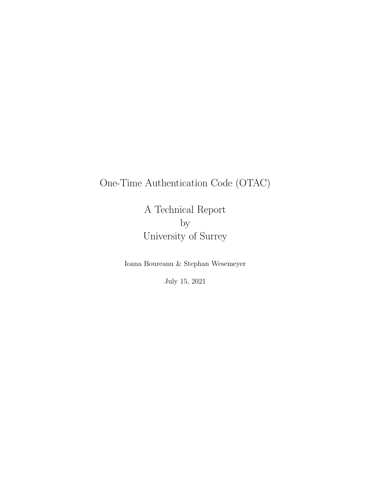## One-Time Authentication Code (OTAC)

A Technical Report by University of Surrey

Ioana Boureanu & Stephan Wesemeyer

July 15, 2021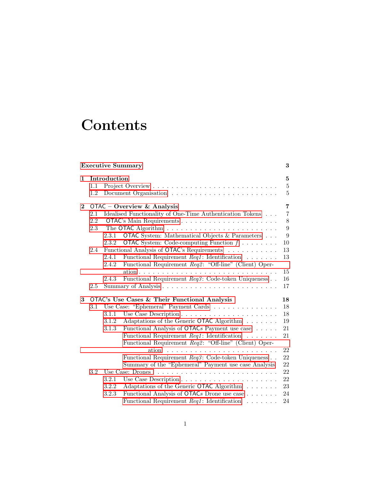# **Contents**

|                |     |              | <b>Executive Summary</b>                                    | 3              |
|----------------|-----|--------------|-------------------------------------------------------------|----------------|
| $\mathbf{1}$   |     | Introduction |                                                             | $\bf{5}$       |
|                | 1.1 |              |                                                             | $\overline{5}$ |
|                | 1.2 |              |                                                             | $\overline{5}$ |
| $\overline{2}$ |     |              | OTAC – Overview $\&$ Analysis                               | $\overline{7}$ |
|                | 2.1 |              | Idealised Functionality of One-Time Authentication Tokens   | $\overline{7}$ |
|                | 2.2 |              |                                                             | $8\,$          |
|                | 2.3 |              |                                                             | 9              |
|                |     | 2.3.1        | <b>OTAC</b> System: Mathematical Objects & Parameters       | 9              |
|                |     | 2.3.2        | <b>OTAC</b> System: Code-computing Function $f \dots \dots$ | 10             |
|                | 2.4 |              | Functional Analysis of OTAC's Requirements                  | 13             |
|                |     | 2.4.1        | Functional Requirement $\text{Re}q1$ : Identification       | 13             |
|                |     | 2.4.2        | Functional Requirement Req2: "Off-line" (Client) Oper-      |                |
|                |     |              |                                                             | 15             |
|                |     | 2.4.3        | Functional Requirement Req3: Code-token Uniqueness          | 16             |
|                | 2.5 |              |                                                             | 17             |
| 3              |     |              | OTAC's Use Cases & Their Functional Analysis                | 18             |
|                | 3.1 |              | Use Case: "Ephemeral" Payment Cards                         | 18             |
|                |     | 3.1.1        |                                                             | 18             |
|                |     | 3.1.2        | Adaptations of the Generic OTAC Algorithm                   | 19             |
|                |     | 3.1.3        | Functional Analysis of OTACs Payment use case               | 21             |
|                |     |              | Functional Requirement $\text{Re}q1$ : Identification       | 21             |
|                |     |              | Functional Requirement Req2: "Off-line" (Client) Oper-      |                |
|                |     |              | ation                                                       | 22             |
|                |     |              | Functional Requirement Req3: Code-token Uniqueness          | 22             |
|                |     |              | Summary of the "Ephemeral" Payment use case Analysis        | 22             |
|                | 3.2 |              | Use Case: Drones                                            | 22             |
|                |     | 3.2.1        |                                                             | 22             |
|                |     | 3.2.2        | Adaptations of the Generic OTAC Algorithm                   | 23             |
|                |     | 3.2.3        | Functional Analysis of OTACs Drone use case                 | 24             |
|                |     |              | Functional Requirement $\text{Re}q1$ : Identification       | 24             |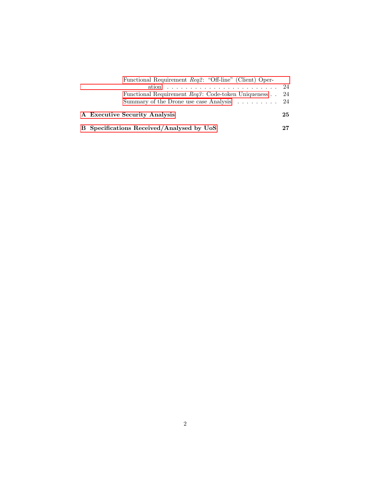| Functional Requirement Req2: "Off-line" (Client) Oper-          |      |
|-----------------------------------------------------------------|------|
|                                                                 | - 24 |
| Functional Requirement $\text{Re}q3$ : Code-token Uniqueness 24 |      |
| Summary of the Drone use case Analysis 24                       |      |
| A Executive Security Analysis                                   | 25   |
| B Specifications Received/Analysed by UoS                       |      |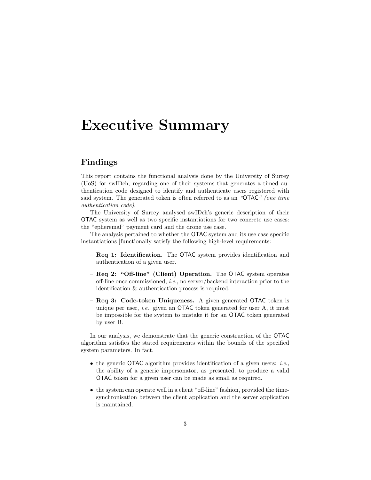## <span id="page-3-0"></span>Executive Summary

#### Findings

This report contains the functional analysis done by the University of Surrey (UoS) for swIDch, regarding one of their systems that generates a timed authentication code designed to identify and authenticate users registered with said system. The generated token is often referred to as an "OTAC" (one time authentication code).

The University of Surrey analysed swIDch's generic description of their OTAC system as well as two specific instantiations for two concrete use cases: the "epheremal" payment card and the drone use case.

The analysis pertained to whether the OTAC system and its use case specific instantiations ]functionally satisfy the following high-level requirements:

- Req 1: Identification. The OTAC system provides identification and authentication of a given user.
- Req 2: "Off-line" (Client) Operation. The OTAC system operates off-line once commissioned, i.e., no server/backend interaction prior to the identification & authentication process is required.
- Req 3: Code-token Uniqueness. A given generated OTAC token is unique per user, *i.e.*, given an **OTAC** token generated for user A, it must be impossible for the system to mistake it for an OTAC token generated by user B.

In our analysis, we demonstrate that the generic construction of the OTAC algorithm satisfies the stated requirements within the bounds of the specified system parameters. In fact,

- the generic **OTAC** algorithm provides identification of a given users: *i.e.*, the ability of a generic impersonator, as presented, to produce a valid OTAC token for a given user can be made as small as required.
- the system can operate well in a client "off-line" fashion, provided the timesynchronisation between the client application and the server application is maintained.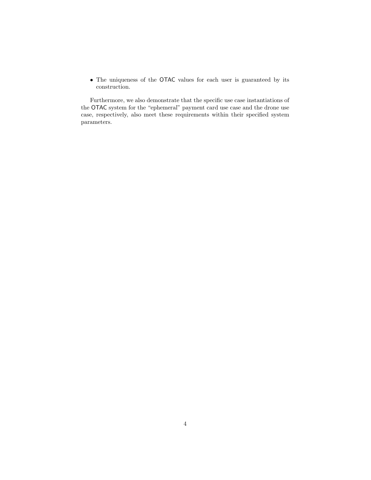• The uniqueness of the OTAC values for each user is guaranteed by its construction.

Furthermore, we also demonstrate that the specific use case instantiations of the OTAC system for the "ephemeral" payment card use case and the drone use case, respectively, also meet these requirements within their specified system parameters.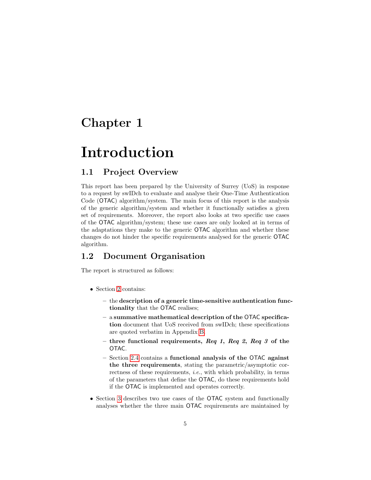## <span id="page-5-0"></span>Chapter 1

## Introduction

### <span id="page-5-1"></span>1.1 Project Overview

This report has been prepared by the University of Surrey (UoS) in response to a request by swIDch to evaluate and analyse their One-Time Authentication Code (OTAC) algorithm/system. The main focus of this report is the analysis of the generic algorithm/system and whether it functionally satisfies a given set of requirements. Moreover, the report also looks at two specific use cases of the OTAC algorithm/system; these use cases are only looked at in terms of the adaptations they make to the generic OTAC algorithm and whether these changes do not hinder the specific requirements analysed for the generic OTAC algorithm.

#### <span id="page-5-2"></span>1.2 Document Organisation

The report is structured as follows:

- Section [2](#page-7-0) contains:
	- the description of a generic time-sensitive authentication functionality that the OTAC realises;
	- a summative mathematical description of the OTAC specification document that UoS received from swIDch; these specifications are quoted verbatim in Appendix [B.](#page-27-0)
	- three functional requirements, Req 1, Req 2, Req 3 of the OTAC.
	- Section [2.4](#page-13-0) contains a functional analysis of the OTAC against the three requirements, stating the parametric/asymptotic correctness of these requirements, *i.e.*, with which probability, in terms of the parameters that define the OTAC, do these requirements hold if the OTAC is implemented and operates correctly.
- Section [3](#page-18-0) describes two use cases of the OTAC system and functionally analyses whether the three main OTAC requirements are maintained by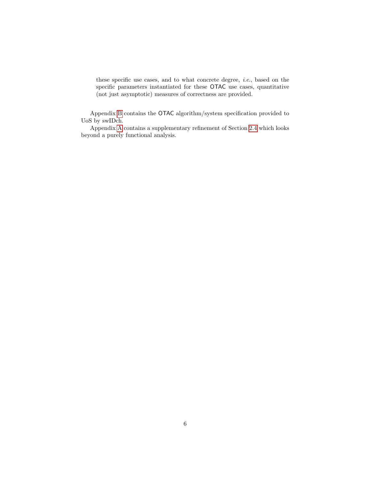these specific use cases, and to what concrete degree, i.e., based on the specific parameters instantiated for these OTAC use cases, quantitative (not just asymptotic) measures of correctness are provided.

Appendix [B](#page-27-0) contains the OTAC algorithm/system specification provided to UoS by swIDch.

Appendix [A](#page-25-0) contains a supplementary refinement of Section [2.4](#page-13-0) which looks beyond a purely functional analysis.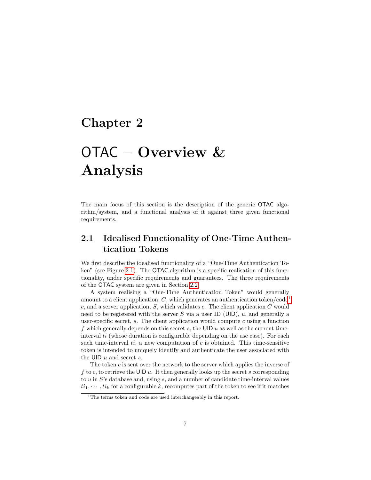## <span id="page-7-0"></span>Chapter 2

# OTAC – Overview & Analysis

The main focus of this section is the description of the generic OTAC algorithm/system, and a functional analysis of it against three given functional requirements.

## <span id="page-7-1"></span>2.1 Idealised Functionality of One-Time Authentication Tokens

We first describe the idealised functionality of a "One-Time Authentication To-ken" (see Figure [2.1\)](#page-8-1). The **OTAC** algorithm is a specific realisation of this functionality, under specific requirements and guarantees. The three requirements of the OTAC system are given in Section [2.2](#page-8-0)

A system realising a "One-Time Authentication Token" would generally amount to a client application,  $C$ , which generates an authentication token/code<sup>[1](#page-7-2)</sup>  $c$ , and a server application,  $S$ , which validates  $c$ . The client application  $C$  would need to be registered with the server S via a user ID (UID),  $u$ , and generally a user-specific secret, s. The client application would compute c using a function f which generally depends on this secret s, the UID  $u$  as well as the current timeinterval  $ti$  (whose duration is configurable depending on the use case). For each such time-interval  $ti$ , a new computation of  $c$  is obtained. This time-sensitive token is intended to uniquely identify and authenticate the user associated with the UID  $u$  and secret  $s$ .

The token  $c$  is sent over the network to the server which applies the inverse of f to c, to retrieve the UID u. It then generally looks up the secret s corresponding to  $u$  in  $S$ 's database and, using  $s$ , and a number of candidate time-interval values  $ti_1, \dots, ti_k$  for a configurable k, recomputes part of the token to see if it matches

<span id="page-7-2"></span><sup>&</sup>lt;sup>1</sup>The terms token and code are used interchangeably in this report.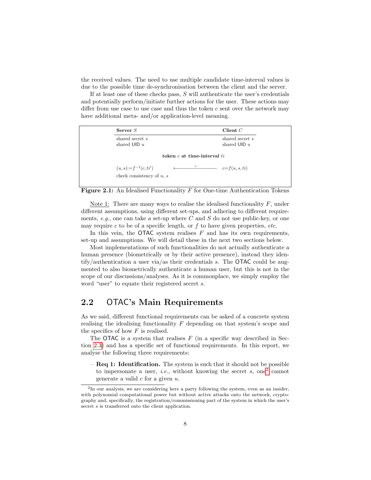the received values. The need to use multiple candidate time-interval values is due to the possible time de-synchronisation between the client and the server.

If at least one of these checks pass, S will authenticate the user's credentials and potentially perform/initiate further actions for the user. These actions may differ from use case to use case and thus the token  $c$  sent over the network may have additional meta- and/or application-level meaning.

| Server $S$                                                |                                 | Client $C$                        |
|-----------------------------------------------------------|---------------------------------|-----------------------------------|
| shared secret s<br>shared UID $u$                         |                                 | shared secret s<br>shared UID $u$ |
|                                                           | token $c$ at time-interval $ti$ |                                   |
| $(u, s) := f^{-1}(c, ti')$<br>check consistency of $u, s$ | $\boldsymbol{c}$                | $c=f(u, s, ti)$                   |

<span id="page-8-1"></span>

Note 1: There are many ways to realise the idealised functionality  $F$ , under different assumptions, using different set-ups, and adhering to different requirements,  $e.g.,$  one can take a set-up where C and S do not use public-key, or one may require c to be of a specific length, or  $f$  to have given properties, etc.

In this vein, the OTAC system realises  $F$  and has its own requirements, set-up and assumptions. We will detail these in the next two sections below.

Most implementations of such functionalities do not actually authenticate a human presence (biometrically or by their active presence), instead they identify/authentication a user via/as their credentials  $s$ . The **OTAC** could be augmented to also biometrically authenticate a human user, but this is not in the scope of our discussions/analyses. As it is commonplace, we simply employ the word "user" to equate their registered secret s.

#### <span id="page-8-0"></span>2.2 OTAC's Main Requirements

As we said, different functional requirements can be asked of a concrete system realising the idealising functionality  $F$  depending on that system's scope and the specifics of how  $F$  is realised.

The OTAC is a system that realises  $F$  (in a specific way described in Section [2.3\)](#page-9-0) and has a specific set of functional requirements. In this report, we analyse the following three requirements:

 $-$  Req 1: Identification. The system is such that it should not be possible to impersonate a user, *i.e.*, without knowing the secret s, one<sup>[2](#page-8-2)</sup> cannot generate a valid  $c$  for a given  $u$ .

<span id="page-8-2"></span><sup>2</sup> In our analysis, we are considering here a party following the system, even as an insider, with polynomial computational power but without active attacks onto the network, cryptography and, specifically, the registration/commissioning part of the system in which the user's secret s is transferred onto the client application.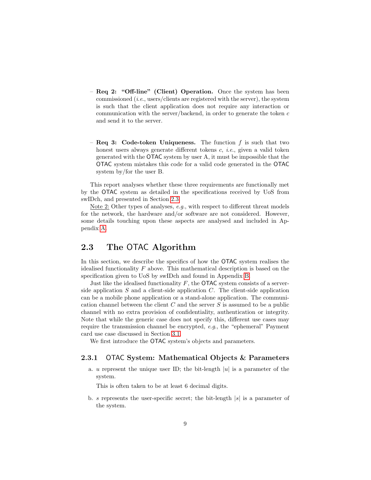- Req 2: "Off-line" (Client) Operation. Once the system has been commissioned (i.e., users/clients are registered with the server), the system is such that the client application does not require any interaction or communication with the server/backend, in order to generate the token  $c$ and send it to the server.
- Req 3: Code-token Uniqueness. The function  $f$  is such that two honest users always generate different tokens c, *i.e.*, given a valid token generated with the OTAC system by user A, it must be impossible that the OTAC system mistakes this code for a valid code generated in the OTAC system by/for the user B.

This report analyses whether these three requirements are functionally met by the OTAC system as detailed in the specifications received by UoS from swIDch, and presented in Section [2.3.](#page-9-0)

Note 2: Other types of analyses, e.g., with respect to different threat models for the network, the hardware and/or software are not considered. However, some details touching upon these aspects are analysed and included in Appendix [A.](#page-25-0)

### <span id="page-9-0"></span>2.3 The OTAC Algorithm

In this section, we describe the specifics of how the OTAC system realises the idealised functionality F above. This mathematical description is based on the specification given to UoS by swIDch and found in Appendix [B.](#page-27-0)

Just like the idealised functionality  $F$ , the **OTAC** system consists of a serverside application  $S$  and a client-side application  $C$ . The client-side application can be a mobile phone application or a stand-alone application. The communication channel between the client C and the server S is assumed to be a public channel with no extra provision of confidentiality, authentication or integrity. Note that while the generic case does not specify this, different use cases may require the transmission channel be encrypted, e.g., the "ephemeral" Payment card use case discussed in Section [3.1.](#page-18-1)

We first introduce the OTAC system's objects and parameters.

#### <span id="page-9-1"></span>2.3.1 OTAC System: Mathematical Objects & Parameters

a. u represent the unique user ID; the bit-length  $|u|$  is a parameter of the system.

This is often taken to be at least 6 decimal digits.

b. s represents the user-specific secret; the bit-length  $|s|$  is a parameter of the system.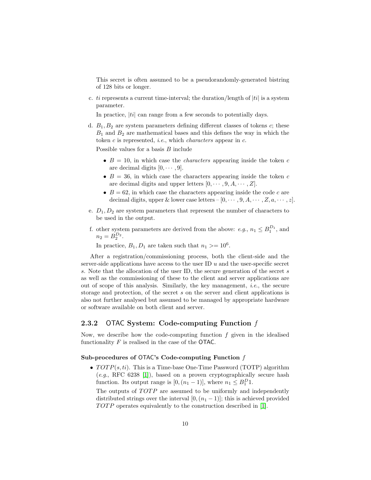This secret is often assumed to be a pseudorandomly-generated bistring of 128 bits or longer.

c. ti represents a current time-interval; the duration/length of  $|ti|$  is a system parameter.

In practice,  $|ti|$  can range from a few seconds to potentially days.

d.  $B_1, B_2$  are system parameters defining different classes of tokens c; these  $B_1$  and  $B_2$  are mathematical bases and this defines the way in which the token  $c$  is represented, *i.e.*, which *characters* appear in  $c$ .

Possible values for a basis  $B$  include

- $B = 10$ , in which case the *characters* appearing inside the token c are decimal digits  $[0, \cdots, 9]$ .
- $B = 36$ , in which case the characters appearing inside the token c are decimal digits and upper letters  $[0, \cdots, 9, A, \cdots, Z]$ .
- $B = 62$ , in which case the characters appearing inside the code c are decimal digits, upper & lower case letters  $-[0, \cdots, 9, A, \cdots, Z, a, \cdots, z].$
- e.  $D_1, D_2$  are system parameters that represent the number of characters to be used in the output.
- f. other system parameters are derived from the above: e.g.,  $n_1 \n\t\leq B_1^{D_1}$ , and  $n_2 = B_2^{D_2}.$

In practice,  $B_1, D_1$  are taken such that  $n_1 \geq 10^6$ .

After a registration/commissioning process, both the client-side and the server-side applications have access to the user ID  $u$  and the user-specific secret s. Note that the allocation of the user ID, the secure generation of the secret s as well as the commissioning of these to the client and server applications are out of scope of this analysis. Similarly, the key management, *i.e.*, the secure storage and protection, of the secret s on the server and client applications is also not further analysed but assumed to be managed by appropriate hardware or software available on both client and server.

#### <span id="page-10-0"></span>2.3.2 OTAC System: Code-computing Function f

Now, we describe how the code-computing function  $f$  given in the idealised functionality  $F$  is realised in the case of the OTAC.

#### Sub-procedures of OTAC's Code-computing Function f

•  $TOTP(s, ti)$ . This is a Time-base One-Time Password (TOTP) algorithm  $(e.g., RFC 6238 [1]),$  $(e.g., RFC 6238 [1]),$  $(e.g., RFC 6238 [1]),$  based on a proven cryptographically secure hash function. Its output range is  $[0,(n_1-1)]$ , where  $n_1 \leq B_1^D 1$ .

The outputs of  $TOTP$  are assumed to be uniformly and independently distributed strings over the interval  $[0,(n<sub>1</sub>-1)]$ ; this is achieved provided TOTP operates equivalently to the construction described in [\[1\]](#page-41-0).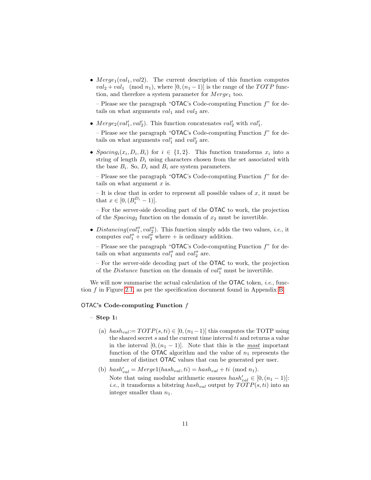•  $Merge_1(val_1, val2)$ . The current description of this function computes  $val_2 + val_1 \pmod{n_1}$ , where  $[0,(n_1-1)]$  is the range of the TOTP function, and therefore a system parameter for  $Merge_1$  too.

– Please see the paragraph "OTAC's Code-computing Function  $f$ " for details on what arguments  $val_1$  and  $val_2$  are.

• Merge<sub>2</sub>(val'<sub>1</sub>, val'<sub>2</sub>). This function concatenates val'<sub>2</sub> with val'<sub>1</sub>.

– Please see the paragraph "OTAC's Code-computing Function  $f$ " for details on what arguments  $val'_1$  and  $val'_2$  are.

• Spacing<sub>i</sub> $(x_i, D_i, B_i)$  for  $i \in \{1, 2\}$ . This function transforms  $x_i$  into a string of length  $D_i$  using characters chosen from the set associated with the base  $B_i$ . So,  $D_i$  and  $B_i$  are system parameters.

– Please see the paragraph "OTAC's Code-computing Function  $f$ " for details on what argument  $x$  is.

– It is clear that in order to represent all possible values of  $x$ , it must be that  $x \in [0, (B_i^{D_i} - 1)].$ 

– For the server-side decoding part of the OTAC to work, the projection of the  $Spacing_2$  function on the domain of  $x_2$  must be invertible.

• Distancing(val'', val''). This function simply adds the two values, *i.e.*, it computes  $val''_1 + val''_2$  where  $+$  is ordinary addition.

– Please see the paragraph "OTAC's Code-computing Function  $f$ " for details on what arguments  $val''_1$  and  $val''_2$  are.

– For the server-side decoding part of the OTAC to work, the projection of the *Distance* function on the domain of  $val''_1$  must be invertible.

We will now summarise the actual calculation of the  $\mathsf{OTAC}$  token, *i.e.*, function  $f$  in Figure [2.1,](#page-8-1) as per the specification document found in Appendix [B.](#page-27-0)

#### OTAC's Code-computing Function f

#### – Step 1:

- (a)  $hash_{val} := TOTP(s, ti) \in [0, (n_1 1)]$  this computes the TOTP using the shared secret  $s$  and the current time interval  $ti$  and returns a value in the interval  $[0,(n_1-1)]$ . Note that this is the most important function of the OTAC algorithm and the value of  $n_1$  represents the number of distinct OTAC values that can be generated per user.
- (b)  $hash'_{val} = Merge1(hash_{val}, ti) = hash_{val} + ti \pmod{n_1}$ . Note that using modular arithmetic ensures  $hash'_{val} \in [0, (n_1 - 1)]$ : *i.e.*, it transforms a bitstring  $hash_{val}$  output by  $TOTP(s, ti)$  into an integer smaller than  $n_1$ .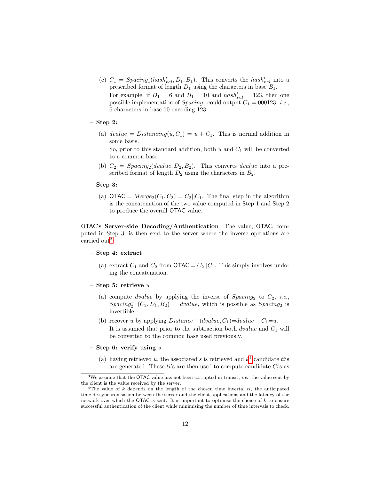(c)  $C_1 = Spacing_1(hash'_{val}, D_1, B_1)$ . This converts the  $hash'_{val}$  into a prescribed format of length  $D_1$  using the characters in base  $B_1$ . For example, if  $D_1 = 6$  and  $B_1 = 10$  and  $hash'_{val} = 123$ , then one

possible implementation of  $Spacing_1$  could output  $C_1 = 000123$ , *i.e.*, 6 characters in base 10 encoding 123.

– Step 2:

(a)  $dvalue = Distanceing(u, C_1) = u + C_1$ . This is normal addition in some basis.

So, prior to this standard addition, both  $u$  and  $C_1$  will be converted to a common base.

- (b)  $C_2 = Spacing_2(dvalue, D_2, B_2)$ . This converts *dvalue* into a prescribed format of length  $D_2$  using the characters in  $B_2$ .
- Step 3:
	- (a)  $\text{OTAC} = Merge_2(C_1, C_2) = C_2||C_1$ . The final step in the algorithm is the concatenation of the two value computed in Step 1 and Step 2 to produce the overall OTAC value.

OTAC's Server-side Decoding/Authentication The value, OTAC, computed in Step 3, is then sent to the server where the inverse operations are carried out<sup>[3](#page-12-0)</sup>:

- Step 4: extract
	- (a) extract  $C_1$  and  $C_2$  from **OTAC** =  $C_2$ || $C_1$ . This simply involves undoing the concatenation.
- Step 5: retrieve  $u$ 
	- (a) compute *dvalue* by applying the inverse of  $Spacing_2$  to  $C_2$ , *i.e.*,  $Spacing_2^{-1}(C_2, D_1, B_2) = dvalue$ , which is possible as  $Spacing_2$  is invertible.
	- (b) recover u by applying  $Distance^{-1}(dvalue, C_1) = dvalue C_1 = u$ . It is assumed that prior to the subtraction both  $dvalue$  and  $C_1$  will
- Step 6: verify using  $s$ 
	- (a) having retrieved u, the associated s is retrieved and  $k^4$  $k^4$  candidate ti's are generated. These  $ti$ 's are then used to compute candidate  $C_1$ 's as

be converted to the common base used previously.

<span id="page-12-0"></span> $3$ We assume that the OTAC value has not been corrupted in transit, *i.e.*, the value sent by the client is the value received by the server.

<span id="page-12-1"></span><sup>&</sup>lt;sup>4</sup>The value of k depends on the length of the chosen time invertal  $ti$ , the anticipated time de-synchronisation between the server and the client applications and the latency of the network over which the OTAC is sent. It is important to optimise the choice of  $k$  to ensure successful authentication of the client while minimising the number of time intervals to check.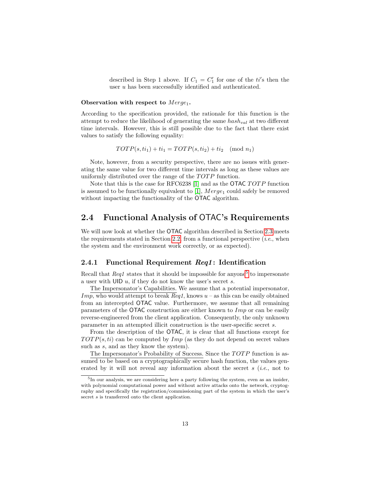described in Step 1 above. If  $C_1 = C'_1$  for one of the ti's then the user u has been successfully identified and authenticated.

#### Observation with respect to  $Merge_1$ .

According to the specification provided, the rationale for this function is the attempt to reduce the likelihood of generating the same  $hash_{val}$  at two different time intervals. However, this is still possible due to the fact that there exist values to satisfy the following equality:

$$
TOTP(s, ti1) + ti1 = TOTP(s, ti2) + ti2 \pmod{n_1}
$$

Note, however, from a security perspective, there are no issues with generating the same value for two different time intervals as long as these values are uniformly distributed over the range of the  $TOTP$  function.

Note that this is the case for RFC6238 [\[1\]](#page-41-0) and as the OTAC  $TOTP$  function is assumed to be functionally equivalent to [\[1\]](#page-41-0),  $Merge_1$  could safely be removed without impacting the functionality of the **OTAC** algorithm.

### <span id="page-13-0"></span>2.4 Functional Analysis of OTAC's Requirements

We will now look at whether the **OTAC** algorithm described in Section [2.3](#page-9-0) meets the requirements stated in Section [2.2,](#page-8-0) from a functional perspective  $(i.e.,$  when the system and the environment work correctly, or as expected).

#### <span id="page-13-1"></span>2.4.1 Functional Requirement Req1: Identification

Recall that  $Req1$  states that it should be impossible for anyone<sup>[5](#page-13-2)</sup> to impersonate a user with UID u, if they do not know the user's secret s.

The Impersonator's Capabilities. We assume that a potential impersonator,  $Imp$ , who would attempt to break  $Reg1$ , knows  $u -$  as this can be easily obtained from an intercepted OTAC value. Furthermore, we assume that all remaining parameters of the OTAC construction are either known to  $Imp$  or can be easily reverse-engineered from the client application. Consequently, the only unknown parameter in an attempted illicit construction is the user-specific secret s.

From the description of the OTAC, it is clear that all functions except for  $TOTP(s, ti)$  can be computed by  $Imp$  (as they do not depend on secret values such as  $s$ , and as they know the system).

The Impersonator's Probability of Success. Since the TOTP function is assumed to be based on a cryptographically secure hash function, the values generated by it will not reveal any information about the secret  $s$  (*i.e.*, not to

<span id="page-13-2"></span><sup>&</sup>lt;sup>5</sup>In our analysis, we are considering here a party following the system, even as an insider, with polynomial computational power and without active attacks onto the network, cryptography and specifically the registration/commissioning part of the system in which the user's secret s is transferred onto the client application.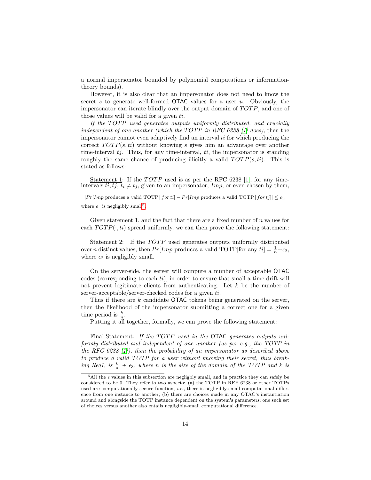a normal impersonator bounded by polynomial computations or informationtheory bounds).

However, it is also clear that an impersonator does not need to know the secret s to generate well-formed  $\overline{O}$ TAC values for a user u. Obviously, the impersonator can iterate blindly over the output domain of  $TOTP$ , and one of those values will be valid for a given ti.

If the  $TOTP$  used generates outputs uniformly distributed, and crucially independent of one another (which the TOTP in RFC 6238  $\vert 1 \vert$  does), then the impersonator cannot even adaptively find an interval ti for which producing the correct  $TOTP(s, ti)$  without knowing s gives him an advantage over another time-interval  $t_j$ . Thus, for any time-interval,  $t_i$ , the impersonator is standing roughly the same chance of producing illicitly a valid  $TOTP(s, ti)$ . This is stated as follows:

<u>Statement 1</u>: If the  $TOTP$  used is as per the RFC 6238 [\[1\]](#page-41-0), for any timeintervals  $ti, tj, t_i \neq t_j$ , given to an impersonator, Imp, or even chosen by them,

 $|Pr[Imp \text{ produces a valid TOTP } | for t_i] - Pr[Imp \text{ produces a valid TOTP } | for t_j]| \le \epsilon_1,$ where  $\epsilon_1$  is negligibly small<sup>[6](#page-14-0)</sup>.

Given statement 1, and the fact that there are a fixed number of n values for each  $TOTP(\cdot, ti)$  spread uniformly, we can then prove the following statement:

Statement 2: If the TOTP used generates outputs uniformly distributed over *n* distinct values, then  $Pr[Imp \text{ produces a valid TOPP} | \text{for any } ti] = \frac{1}{n} + \epsilon_2$ , where  $\epsilon_2$  is negligibly small.

On the server-side, the server will compute a number of acceptable OTAC codes (corresponding to each  $ti$ ), in order to ensure that small a time drift will not prevent legitimate clients from authenticating. Let  $k$  be the number of server-acceptable/server-checked codes for a given ti.

Thus if there are  $k$  candidate OTAC tokens being generated on the server, then the likelihood of the impersonator submitting a correct one for a given time period is  $\frac{k}{n}$ .

Putting it all together, formally, we can prove the following statement:

Final Statement: If the TOTP used in the OTAC generates outputs uniformly distributed and independent of one another (as per e.g., the TOTP in the RFC 6238 [\[1\]](#page-41-0)), then the probability of an impersonator as described above to produce a valid TOTP for a user without knowing their secret, thus breaking Req1, is  $\frac{k}{n} + \epsilon_3$ , where n is the size of the domain of the TOTP and k is

<span id="page-14-0"></span> ${}^{6}$ All the  $\epsilon$  values in this subsection are negligbly small, and in practice they can safely be considered to be 0. They refer to two aspects: (a) the TOTP in REF 6238 or other TOTPs used are computationally secure function, *i.e.*, there is negligibly-small computational difference from one instance to another; (b) there are choices made in any OTAC's instantiation around and alongside the TOTP instance dependent on the system's parameters; one such set of choices versus another also entails negligibly-small computational difference.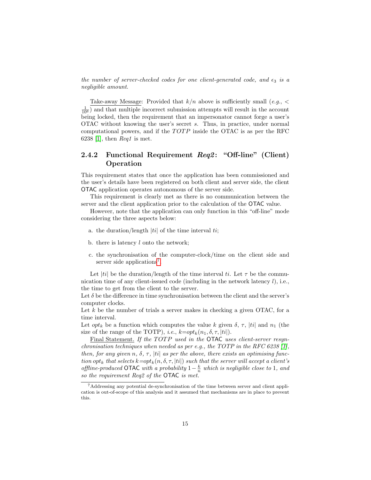the number of server-checked codes for one client-generated code, and  $\epsilon_3$  is a negligible amount.

Take-away Message: Provided that  $k/n$  above is sufficiently small  $(e.g., <$  $\frac{1}{10^6}$ ) and that multiple incorrect submission attempts will result in the account being locked, then the requirement that an impersonator cannot forge a user's OTAC without knowing the user's secret s. Thus, in practice, under normal computational powers, and if the  $TOTP$  inside the OTAC is as per the RFC 6238 [\[1\]](#page-41-0), then  $\text{Re}q1$  is met.

#### <span id="page-15-0"></span>2.4.2 Functional Requirement Req2: "Off-line" (Client) Operation

This requirement states that once the application has been commissioned and the user's details have been registered on both client and server side, the client OTAC application operates autonomous of the server side.

This requirement is clearly met as there is no communication between the server and the client application prior to the calculation of the OTAC value.

However, note that the application can only function in this "off-line" mode considering the three aspects below:

- a. the duration/length  $|ti|$  of the time interval  $ti$ ;
- b. there is latency  $l$  onto the network;
- c. the synchronisation of the computer-clock/time on the client side and server side applications<sup>[7](#page-15-1)</sup>.

Let  $|ti|$  be the duration/length of the time interval ti. Let  $\tau$  be the communication time of any client-issued code (including in the network latency  $l$ ), i.e., the time to get from the client to the server.

Let  $\delta$  be the difference in time synchronisation between the client and the server's computer clocks.

Let  $k$  be the number of trials a server makes in checking a given OTAC, for a time interval.

Let  $opt_k$  be a function which computes the value k given  $\delta$ ,  $\tau$ , |ti| and  $n_1$  (the size of the range of the TOTP), *i.e.*,  $k=opt_k(n_1, \delta, \tau, |ti|)$ .

Final Statement. If the TOTP used in the OTAC uses client-server resynchronisation techniques when needed as per e.g., the TOTP in the RFC 6238 [\[1\]](#page-41-0), then, for any given n,  $\delta$ ,  $\tau$ , |ti| as per the above, there exists an optimising function opt<sub>k</sub> that selects  $k=opt_k(n, \delta, \tau, |ti|)$  such that the server will accept a client's offline-produced OTAC with a probability  $1-\frac{k}{n}$  which is negligible close to 1, and so the requirement Req2 of the OTAC is met.

<span id="page-15-1"></span><sup>7</sup>Addressing any potential de-synchronisation of the time between server and client application is out-of-scope of this analysis and it assumed that mechanisms are in place to prevent this.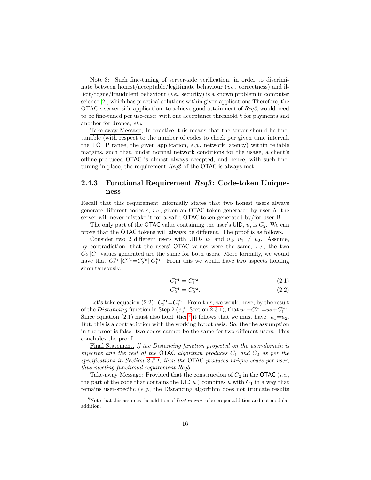Note 3: Such fine-tuning of server-side verification, in order to discriminate between honest/acceptable/legitimate behaviour (*i.e.*, correctness) and illicit/rogue/fraudulent behaviour (i.e., security) is a known problem in computer science [\[2\]](#page-41-1), which has practical solutions within given applications.Therefore, the OTAC's server-side application, to achieve good attainment of Req2, would need to be fine-tuned per use-case: with one acceptance threshold k for payments and another for drones, etc.

Take-away Message, In practice, this means that the server should be finetunable (with respect to the number of codes to check per given time interval, the TOTP range, the given application,  $e.g.,$  network latency) within reliable margins, such that, under normal network conditions for the usage, a client's offline-produced OTAC is almost always accepted, and hence, with such finetuning in place, the requirement Req2 of the OTAC is always met.

#### <span id="page-16-0"></span>2.4.3 Functional Requirement Req3: Code-token Uniqueness

Recall that this requirement informally states that two honest users always generate different codes  $c, i.e.,$  given an **OTAC** token generated by user A, the server will never mistake it for a valid OTAC token generated by/for user B.

The only part of the OTAC value containing the user's UID,  $u$ , is  $C_2$ . We can prove that the OTAC tokens will always be different. The proof is as follows.

Consider two 2 different users with UIDs  $u_1$  and  $u_2$ ,  $u_1 \neq u_2$ . Assume, by contradiction, that the users' OTAC values were the same, i.e., the two  $C_2||C_1$  values generated are the same for both users. More formally, we would have that  $C_2^{u_1}$   $||C_1^{u_1} = C_2^{u_2}$   $||C_1^{u_1}$ . From this we would have two aspects holding simultaneously:

$$
C_1^{u_1} = C_1^{u_2} \tag{2.1}
$$

$$
C_2^{u_1} = C_2^{u_2}.\tag{2.2}
$$

Let's take equation (2.2):  $C_2^{u_1} = C_2^{u_2}$ . From this, we would have, by the result of the Distancing function in Step 2 (c.f., Section [2.3.1\)](#page-9-1), that  $u_1 + C_1^{u_1} = u_2 + C_1^{u_2}$ . Since equation (2.1) must also hold, then<sup>[8](#page-16-1)</sup> it follows that we must have:  $u_1 = u_2$ . But, this is a contradiction with the working hypothesis. So, the the assumption in the proof is false: two codes cannot be the same for two different users. This concludes the proof.

Final Statement. If the Distancing function projected on the user-domain is injective and the rest of the OTAC algorithm produces  $C_1$  and  $C_2$  as per the specifications in Section [2.3.1,](#page-9-1) then the **OTAC** produces unique codes per user, thus meeting functional requirement Req3.

Take-away Message: Provided that the construction of  $C_2$  in the OTAC (*i.e.*, the part of the code that contains the UID  $u$ ) combines u with  $C_1$  in a way that remains user-specific (e.g., the Distancing algorithm does not truncate results

<span id="page-16-1"></span><sup>&</sup>lt;sup>8</sup>Note that this assumes the addition of *Distancing* to be proper addition and not modular addition.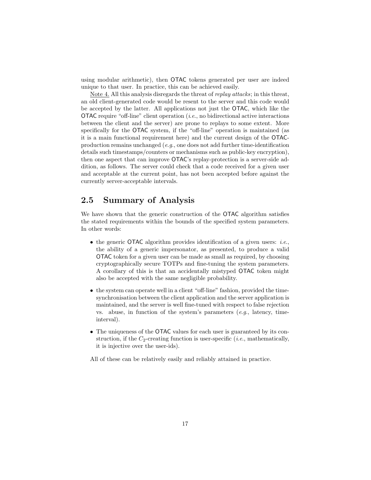using modular arithmetic), then OTAC tokens generated per user are indeed unique to that user. In practice, this can be achieved easily.

Note 4. All this analysis disregards the threat of *replay attacks*; in this threat, an old client-generated code would be resent to the server and this code would be accepted by the latter. All applications not just the OTAC, which like the OTAC require "off-line" client operation  $(i.e.,$  no bidirectional active interactions between the client and the server) are prone to replays to some extent. More specifically for the OTAC system, if the "off-line" operation is maintained (as it is a main functional requirement here) and the current design of the OTACproduction remains unchanged (e.g., one does not add further time-identification details such timestamps/counters or mechanisms such as public-key encryption), then one aspect that can improve OTAC's replay-protection is a server-side addition, as follows. The server could check that a code received for a given user and acceptable at the current point, has not been accepted before against the currently server-acceptable intervals.

#### <span id="page-17-0"></span>2.5 Summary of Analysis

We have shown that the generic construction of the OTAC algorithm satisfies the stated requirements within the bounds of the specified system parameters. In other words:

- the generic **OTAC** algorithm provides identification of a given users: *i.e.*, the ability of a generic impersonator, as presented, to produce a valid OTAC token for a given user can be made as small as required, by choosing cryptographically secure TOTPs and fine-tuning the system parameters. A corollary of this is that an accidentally mistyped OTAC token might also be accepted with the same negligible probability.
- the system can operate well in a client "off-line" fashion, provided the timesynchronisation between the client application and the server application is maintained, and the server is well fine-tuned with respect to false rejection vs. abuse, in function of the system's parameters  $(e.g., \text{ latency}, \text{ time-}$ interval).
- The uniqueness of the OTAC values for each user is guaranteed by its construction, if the  $C_2$ -creating function is user-specific (*i.e.*, mathematically, it is injective over the user-ids).

All of these can be relatively easily and reliably attained in practice.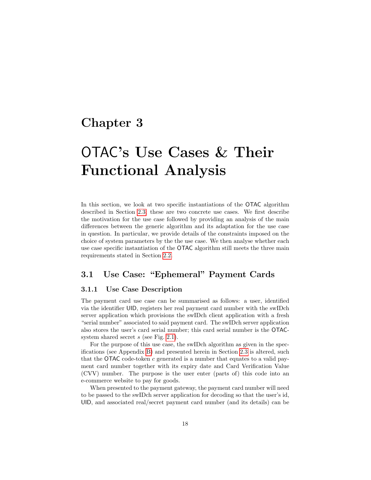## <span id="page-18-0"></span>Chapter 3

# OTAC's Use Cases & Their Functional Analysis

In this section, we look at two specific instantiations of the OTAC algorithm described in Section [2.3;](#page-9-0) these are two concrete use cases. We first describe the motivation for the use case followed by providing an analysis of the main differences between the generic algorithm and its adaptation for the use case in question. In particular, we provide details of the constraints imposed on the choice of system parameters by the the use case. We then analyse whether each use case specific instantiation of the OTAC algorithm still meets the three main requirements stated in Section [2.2.](#page-8-0)

### <span id="page-18-1"></span>3.1 Use Case: "Ephemeral" Payment Cards

#### <span id="page-18-2"></span>3.1.1 Use Case Description

The payment card use case can be summarised as follows: a user, identified via the identifier UID, registers her real payment card number with the swIDch server application which provisions the swIDch client application with a fresh "serial number" associated to said payment card. The swIDch server application also stores the user's card serial number; this card serial number is the OTACsystem shared secret  $s$  (see Fig. [2.1\)](#page-8-1).

For the purpose of this use case, the swIDch algorithm as given in the specifications (see Appendix [B\)](#page-27-0) and presented herein in Section [2.3](#page-9-0) is altered, such that the OTAC code-token c generated is a number that equates to a valid payment card number together with its expiry date and Card Verification Value (CVV) number. The purpose is the user enter (parts of) this code into an e-commerce website to pay for goods.

When presented to the payment gateway, the payment card number will need to be passed to the swIDch server application for decoding so that the user's id, UID, and associated real/secret payment card number (and its details) can be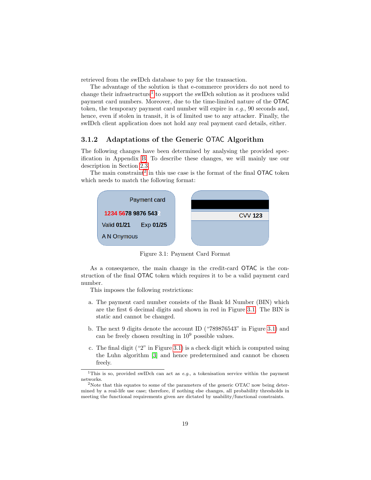retrieved from the swIDch database to pay for the transaction.

The advantage of the solution is that e-commerce providers do not need to change their infrastructure<sup>[1](#page-19-1)</sup> to support the swIDch solution as it produces valid payment card numbers. Moreover, due to the time-limited nature of the OTAC token, the temporary payment card number will expire in  $e.g., 90$  seconds and, hence, even if stolen in transit, it is of limited use to any attacker. Finally, the swIDch client application does not hold any real payment card details, either.

#### <span id="page-19-0"></span>3.1.2 Adaptations of the Generic OTAC Algorithm

The following changes have been determined by analysing the provided specification in Appendix [B.](#page-27-0) To describe these changes, we will mainly use our description in Section [2.3.](#page-9-0)



The main constraint<sup>[2](#page-19-2)</sup> in this use case is the format of the final  $\mathsf{OTAC}$  token which needs to match the following format:

<span id="page-19-3"></span>Figure 3.1: Payment Card Format

As a consequence, the main change in the credit-card OTAC is the construction of the final OTAC token which requires it to be a valid payment card number.

This imposes the following restrictions:

- a. The payment card number consists of the Bank Id Number (BIN) which are the first 6 decimal digits and shown in red in Figure [3.1.](#page-19-3) The BIN is static and cannot be changed.
- b. The next 9 digits denote the account ID ("789876543" in Figure [3.1\)](#page-19-3) and can be freely chosen resulting in  $10^9$  possible values.
- c. The final digit ("2" in Figure [3.1\)](#page-19-3) is a check digit which is computed using the Luhn algorithm [\[3\]](#page-41-2) and hence predetermined and cannot be chosen freely.

<span id="page-19-1"></span><sup>&</sup>lt;sup>1</sup>This is so, provided swIDch can act as  $e.g.,$  a tokenisation service within the payment networks.

<span id="page-19-2"></span><sup>&</sup>lt;sup>2</sup>Note that this equates to some of the parameters of the generic OTAC now being determined by a real-life use case; therefore, if nothing else changes, all probability thresholds in meeting the functional requirements given are dictated by usability/functional constraints.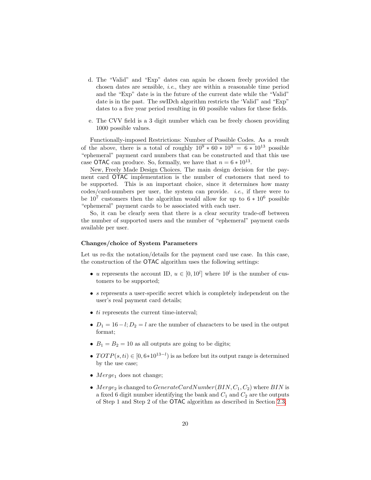- d. The "Valid" and "Exp" dates can again be chosen freely provided the chosen dates are sensible, i.e., they are within a reasonable time period and the "Exp" date is in the future of the current date while the "Valid" date is in the past. The swIDch algorithm restricts the 'Valid" and "Exp" dates to a five year period resulting in 60 possible values for these fields.
- e. The CVV field is a 3 digit number which can be freely chosen providing 1000 possible values.

Functionally-imposed Restrictions: Number of Possible Codes. As a result of the above, there is a total of roughly  $10^9 * 60 * 10^3 = 6 * 10^{13}$  possible "ephemeral" payment card numbers that can be constructed and that this use case OTAC can produce. So, formally, we have that  $n = 6 * 10^{13}$ .

New, Freely Made Design Choices. The main design decision for the payment card OTAC implementation is the number of customers that need to be supported. This is an important choice, since it determines how many codes/card-numbers per user, the system can provide. *i.e.*, if there were to be  $10^7$  customers then the algorithm would allow for up to  $6 * 10^6$  possible "ephemeral" payment cards to be associated with each user.

So, it can be clearly seen that there is a clear security trade-off between the number of supported users and the number of "ephemeral" payment cards available per user.

#### Changes/choice of System Parameters

Let us re-fix the notation/details for the payment card use case. In this case, the construction of the OTAC algorithm uses the following settings:

- u represents the account ID,  $u \in [0, 10^l]$  where  $10^l$  is the number of customers to be supported;
- $\bullet$  s represents a user-specific secret which is completely independent on the user's real payment card details;
- *ti* represents the current time-interval;
- $D_1 = 16 l$ ;  $D_2 = l$  are the number of characters to be used in the output format;
- $B_1 = B_2 = 10$  as all outputs are going to be digits;
- $TOTP(s, ti) \in [0, 6*10^{13-l})$  is as before but its output range is determined by the use case;
- $Merge_1$  does not change;
- Merge<sub>2</sub> is changed to  $\mathit{GenerateCardNumber}(BIN, C_1, C_2)$  where  $BIN$  is a fixed 6 digit number identifying the bank and  $C_1$  and  $C_2$  are the outputs of Step 1 and Step 2 of the OTAC algorithm as described in Section [2.3;](#page-9-0)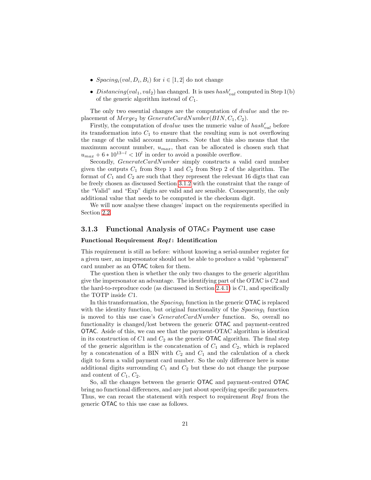- $Spacing_i(val, D_i, B_i)$  for  $i \in [1, 2]$  do not change
- Distancing (val<sub>1</sub>, val<sub>2</sub>) has changed. It is uses  $hash'_{val}$  computed in Step 1(b) of the generic algorithm instead of  $C_1$ .

The only two essential changes are the computation of *dvalue* and the replacement of  $Merge_2$  by  $GenerateCardNumber(BIN, C_1, C_2)$ .

Firstly, the computation of *dvalue* uses the numeric value of  $hash'_{val}$  before its transformation into  $C_1$  to ensure that the resulting sum is not overflowing the range of the valid account numbers. Note that this also means that the maximum account number,  $u_{max}$ , that can be allocated is chosen such that  $u_{max} + 6 * 10^{13-l} < 10^l$  in order to avoid a possible overflow.

Secondly, GenerateCardNumber simply constructs a valid card number given the outputs  $C_1$  from Step 1 and  $C_2$  from Step 2 of the algorithm. The format of  $C_1$  and  $C_2$  are such that they represent the relevant 16 digts that can be freely chosen as discussed Section [3.1.2](#page-19-0) with the constraint that the range of the "Valid" and "Exp" digits are valid and are sensible. Consequently, the only additional value that needs to be computed is the checksum digit.

We will now analyse these changes' impact on the requirements specified in Section [2.2.](#page-8-0)

#### <span id="page-21-0"></span>3.1.3 Functional Analysis of OTACs Payment use case

#### <span id="page-21-1"></span>Functional Requirement Req1: Identification

This requirement is still as before: without knowing a serial-number register for a given user, an impersonator should not be able to produce a valid "ephemeral" card number as an OTAC token for them.

The question then is whether the only two changes to the generic algorithm give the impersonator an advantage. The identifying part of the OTAC is C2 and the hard-to-reproduce code (as discussed in Section [2.4.1\)](#page-13-1) is  $C1$ , and specifically the TOTP inside C1.

In this transformation, the  $Spacing_1$  function in the generic  $\mathsf{OTAC}$  is replaced with the identity function, but original functionality of the  $Spacing_1$  function is moved to this use case's GenerateCardNumber function. So, overall no functionality is changed/lost between the generic OTAC and payment-centred OTAC. Aside of this, we can see that the payment-OTAC algorithm is identical in its construction of  $C1$  and  $C_2$  as the generic **OTAC** algorithm. The final step of the generic algorithm is the concatenation of  $C_1$  and  $C_2$ , which is replaced by a concatenation of a BIN with  $C_2$  and  $C_1$  and the calculation of a check digit to form a valid payment card number. So the only difference here is some additional digits surrounding  $C_1$  and  $C_2$  but these do not change the purpose and content of  $C_1$ ,  $C_2$ .

So, all the changes between the generic OTAC and payment-centred OTAC bring no functional differences, and are just about specifying specific parameters. Thus, we can recast the statement with respect to requirement Req1 from the generic OTAC to this use case as follows.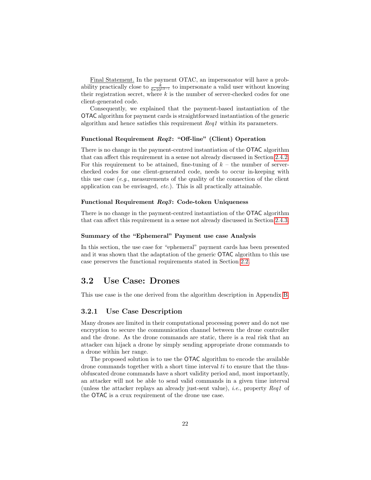Final Statement. In the payment OTAC, an impersonator will have a probability practically close to  $\frac{k}{6*10^{13-t}}$  to impersonate a valid user without knowing their registration secret, where  $k$  is the number of server-checked codes for one client-generated code.

Consequently, we explained that the payment-based instantiation of the OTAC algorithm for payment cards is straightforward instantiation of the generic algorithm and hence satisfies this requirement Req1 within its parameters.

#### <span id="page-22-0"></span>Functional Requirement Req2: "Off-line" (Client) Operation

There is no change in the payment-centred instantiation of the OTAC algorithm that can affect this requirement in a sense not already discussed in Section [2.4.2.](#page-15-0) For this requirement to be attained, fine-tuning of  $k -$  the number of serverchecked codes for one client-generated code, needs to occur in-keeping with this use case  $(e.g.,$  measurements of the quality of the connection of the client application can be envisaged, etc.). This is all practically attainable.

#### <span id="page-22-1"></span>Functional Requirement Req3: Code-token Uniqueness

There is no change in the payment-centred instantiation of the OTAC algorithm that can affect this requirement in a sense not already discussed in Section [2.4.3.](#page-16-0)

#### <span id="page-22-2"></span>Summary of the "Ephemeral" Payment use case Analysis

In this section, the use case for "ephemeral" payment cards has been presented and it was shown that the adaptation of the generic OTAC algorithm to this use case preserves the functional requirements stated in Section [2.2.](#page-8-0)

#### <span id="page-22-3"></span>3.2 Use Case: Drones

This use case is the one derived from the algorithm description in Appendix [B.](#page-27-0)

#### <span id="page-22-4"></span>3.2.1 Use Case Description

Many drones are limited in their computational processing power and do not use encryption to secure the communication channel between the drone controller and the drone. As the drone commands are static, there is a real risk that an attacker can hijack a drone by simply sending appropriate drone commands to a drone within her range.

The proposed solution is to use the OTAC algorithm to encode the available drone commands together with a short time interval  $ti$  to ensure that the thusobfuscated drone commands have a short validity period and, most importantly, an attacker will not be able to send valid commands in a given time interval (unless the attacker replays an already just-sent value), i.e., property Req1 of the OTAC is a crux requirement of the drone use case.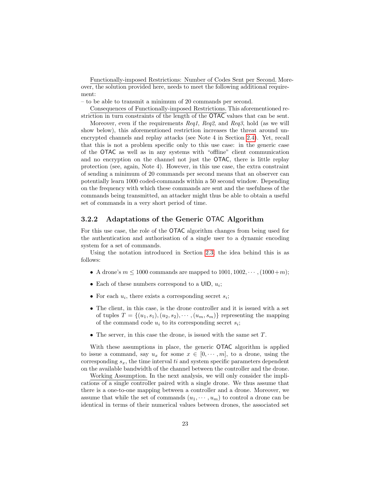Functionally-imposed Restrictions: Number of Codes Sent per Second. Moreover, the solution provided here, needs to meet the following additional requirement:

– to be able to transmit a minimum of 20 commands per second.

Consequences of Functionally-imposed Restrictions. This aforementioned restriction in turn constraints of the length of the OTAC values that can be sent.

Moreover, even if the requirements Req1, Req2, and Req3, hold (as we will show below), this aforementioned restriction increases the threat around unencrypted channels and replay attacks (see Note 4 in Section [2.4\)](#page-13-0). Yet, recall that this is not a problem specific only to this use case: in the generic case of the OTAC as well as in any systems with "offline" client communication and no encryption on the channel not just the OTAC, there is little replay protection (see, again, Note 4). However, in this use case, the extra constraint of sending a minimum of 20 commands per second means that an observer can potentially learn 1000 coded-commands within a 50 second window. Depending on the frequency with which these commands are sent and the usefulness of the commands being transmitted, an attacker might thus be able to obtain a useful set of commands in a very short period of time.

#### <span id="page-23-0"></span>3.2.2 Adaptations of the Generic OTAC Algorithm

For this use case, the role of the OTAC algorithm changes from being used for the authentication and authorisation of a single user to a dynamic encoding system for a set of commands.

Using the notation introduced in Section [2.3,](#page-9-0) the idea behind this is as follows:

- A drone's  $m \leq 1000$  commands are mapped to  $1001, 1002, \dots, (1000+m)$ ;
- Each of these numbers correspond to a  $UID, u_i$ ;
- For each  $u_i$ , there exists a corresponding secret  $s_i$ ;
- The client, in this case, is the drone controller and it is issued with a set of tuples  $T = \{(u_1, s_1), (u_2, s_2), \cdots, (u_m, s_m)\}\)$  representing the mapping of the command code  $u_i$  to its corresponding secret  $s_i$ ;
- The server, in this case the drone, is issued with the same set  $T$ .

With these assumptions in place, the generic OTAC algorithm is applied to issue a command, say  $u_x$  for some  $x \in [0, \dots, m]$ , to a drone, using the corresponding  $s_x$ , the time interval ti and system specific parameters dependent on the available bandwidth of the channel between the controller and the drone.

Working Assumption. In the next analysis, we will only consider the implications of a single controller paired with a single drone. We thus assume that there is a one-to-one mapping between a controller and a drone. Moreover, we assume that while the set of commands  $(u_1, \dots, u_m)$  to control a drone can be identical in terms of their numerical values between drones, the associated set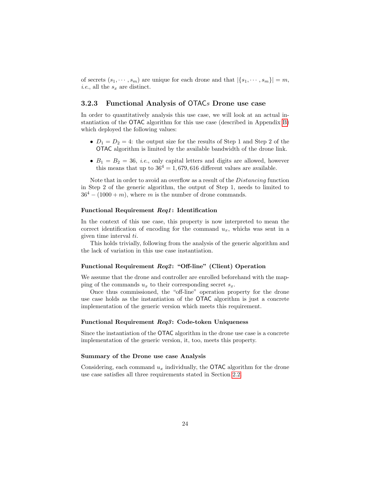of secrets  $(s_1, \dots, s_m)$  are unique for each drone and that  $|\{s_1, \dots, s_m\}| = m$ , *i.e.*, all the  $s_x$  are distinct.

#### <span id="page-24-0"></span>3.2.3 Functional Analysis of OTACs Drone use case

In order to quantitatively analysis this use case, we will look at an actual instantiation of the OTAC algorithm for this use case (described in Appendix [B\)](#page-27-0) which deployed the following values:

- $D_1 = D_2 = 4$ : the output size for the results of Step 1 and Step 2 of the OTAC algorithm is limited by the available bandwidth of the drone link.
- $B_1 = B_2 = 36$ , *i.e.*, only capital letters and digits are allowed, however this means that up to  $36^4 = 1,679,616$  different values are available.

Note that in order to avoid an overflow as a result of the Distancing function in Step 2 of the generic algorithm, the output of Step 1, needs to limited to  $36<sup>4</sup> - (1000 + m)$ , where m is the number of drone commands.

#### <span id="page-24-1"></span>Functional Requirement Req1: Identification

In the context of this use case, this property is now interpreted to mean the correct identification of encoding for the command  $u_x$ , whichs was sent in a given time interval ti.

This holds trivially, following from the analysis of the generic algorithm and the lack of variation in this use case instantiation.

#### <span id="page-24-2"></span>Functional Requirement Req2: "Off-line" (Client) Operation

We assume that the drone and controller are enrolled beforehand with the mapping of the commands  $u_x$  to their corresponding secret  $s_x$ .

Once thus commissioned, the "off-line" operation property for the drone use case holds as the instantiation of the OTAC algorithm is just a concrete implementation of the generic version which meets this requirement.

#### <span id="page-24-3"></span>Functional Requirement Req3: Code-token Uniqueness

Since the instantiation of the OTAC algorithm in the drone use case is a concrete implementation of the generic version, it, too, meets this property.

#### <span id="page-24-4"></span>Summary of the Drone use case Analysis

Considering, each command  $u_x$  individually, the **OTAC** algorithm for the drone use case satisfies all three requirements stated in Section [2.2.](#page-8-0)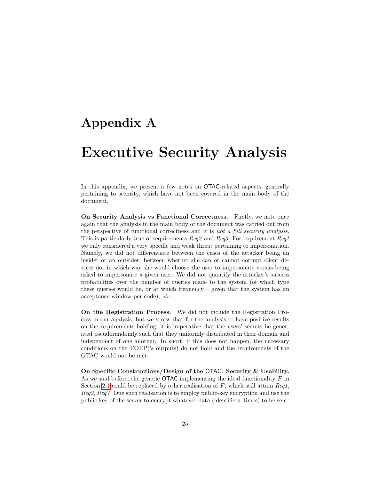## <span id="page-25-0"></span>Appendix A

## Executive Security Analysis

In this appendix, we present a few notes on **OTAC-related** aspects, generally pertaining to security, which have not been covered in the main body of the document.

On Security Analysis vs Functional Correctness. Firstly, we note once again that the analysis in the main body of the document was carried out from the perspective of functional correctness and it is not a full security analysis. This is particularly true of requirements Req2 and Req3. For requirement Req1 we only considered a very specific and weak threat pertaining to impersonation. Namely, we did not differentiate between the cases of the attacker being an insider or an outsider, between whether she can or cannot corrupt client devices nor in which way she would choose the user to impersonate versus being asked to impersonate a given user. We did not quantify the attacker's success probabilities over the number of queries made to the system (of which type these queries would be, or at which frequency – given that the system has an acceptance window per code), etc.

On the Registration Process. We did not include the Registration Process in our analysis, but we stress that for the analysis to have positive results on the requirements holding, it is imperative that the users' secrets be generated pseudorandomly such that they uniformly distributed in their domain and independent of one another. In short, if this does not happen, the necessary conditions on the TOTP('s outputs) do not hold and the requirements of the OTAC would not be met.

On Specific Constructions/Design of the OTAC: Security & Usability. As we said before, the generic **OTAC** implementing the ideal functionality  $F$  in Section [2.1](#page-7-1) could be replaced by other realisation of  $F$ , which still attain  $\text{Re}q1$ , Req2, Req3. One such realisation is to employ public-key encryption and use the public key of the server to encrypt whatever data (identifiers, times) to be sent.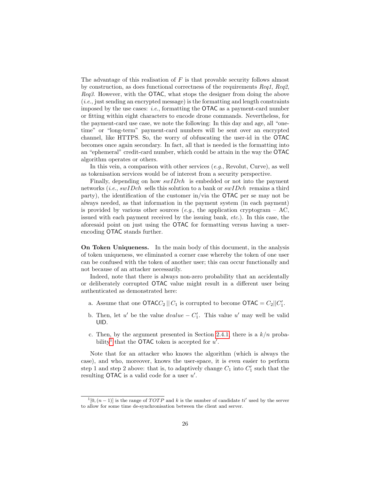The advantage of this realisation of  $F$  is that provable security follows almost by construction, as does functional correctness of the requirements Req1, Req2, Req3. However, with the **OTAC**, what stops the designer from doing the above (i.e., just sending an encrypted message) is the formatting and length constraints imposed by the use cases: *i.e.*, formatting the  $\overline{OTAC}$  as a payment-card number or fitting within eight characters to encode drone commands. Nevertheless, for the payment-card use case, we note the following: In this day and age, all "onetime" or "long-term" payment-card numbers will be sent over an encrypted channel, like HTTPS. So, the worry of obfuscating the user-id in the OTAC becomes once again secondary. In fact, all that is needed is the formatting into an "ephemeral" credit-card number, which could be attain in the way the OTAC algorithm operates or others.

In this vein, a comparison with other services  $(e.g.,$  Revolut, Curve), as well as tokenisation services would be of interest from a security perspective.

Finally, depending on how  $\textit{swIDch}$  is embedded or not into the payment networks (*i.e.*,  $swIDch$  sells this solution to a bank or  $swIDch$  remains a third party), the identification of the customer in/via the OTAC per se may not be always needed, as that information in the payment system (in each payment) is provided by various other sources (e.g., the application cryptogram – AC, issued with each payment received by the issuing bank, etc.). In this case, the aforesaid point on just using the OTAC for formatting versus having a userencoding OTAC stands further.

On Token Uniqueness. In the main body of this document, in the analysis of token uniqueness, we eliminated a corner case whereby the token of one user can be confused with the token of another user; this can occur functionally and not because of an attacker necessarily.

Indeed, note that there is always non-zero probability that an accidentally or deliberately corrupted OTAC value might result in a different user being authenticated as demonstrated here:

- a. Assume that one  $\mathsf{OTACC}_2 \parallel C_1$  is corrupted to become  $\mathsf{OTAC} = C_2 || C'_1$ .
- b. Then, let u' be the value  $dvalue C'_1$ . This value u' may well be valid UID.
- c. Then, by the argument presented in Section [2.4.1,](#page-13-1) there is a  $k/n$  proba-bility<sup>[1](#page-26-0)</sup> that the OTAC token is accepted for  $u'$ .

Note that for an attacker who knows the algorithm (which is always the case), and who, moreover, knows the user-space, it is even easier to perform step 1 and step 2 above: that is, to adaptively change  $C_1$  into  $C'_1$  such that the resulting OTAC is a valid code for a user  $u'$ .

<span id="page-26-0"></span> $\mathbb{1}[0,(n-1)]$  is the range of TOTP and k is the number of candidate ti' used by the server to allow for some time de-synchronisation between the client and server.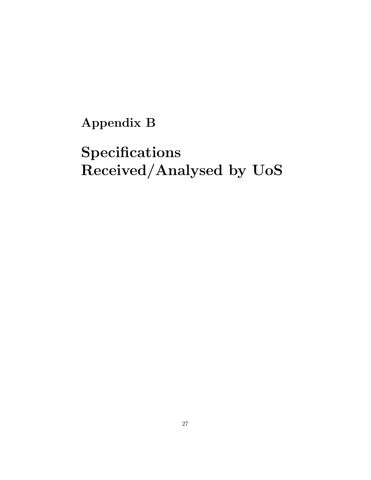<span id="page-27-0"></span>Appendix B

# Specifications Received/Analysed by UoS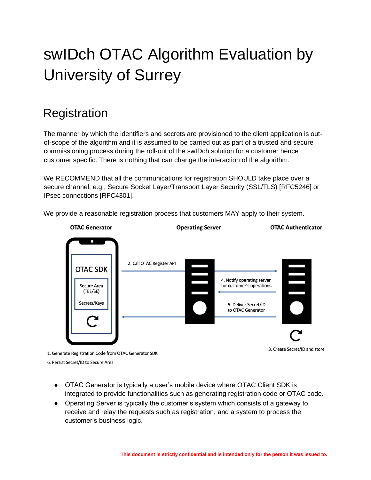# swIDch OTAC Algorithm Evaluation by University of Surrey

## **Registration**

The manner by which the identifiers and secrets are provisioned to the client application is outof-scope of the algorithm and it is assumed to be carried out as part of a trusted and secure commissioning process during the roll-out of the swIDch solution for a customer hence customer specific. There is nothing that can change the interaction of the algorithm.

We RECOMMEND that all the communications for registration SHOULD take place over a secure channel, e.g., Secure Socket Layer/Transport Layer Security (SSL/TLS) [RFC5246] or IPsec connections [RFC4301].

**OTAC Generator Operating Server OTAC Authenticator** 2. Call OTAC Register API  $\blacksquare$ **OTAC SDK** 4. Notify operating server for customer's operations. Secure Area (TEE/SE) Secrets/Keys 5. Deliver Secret/ID to OTAC Generator 3. Create Secret/ID and store

We provide a reasonable registration process that customers MAY apply to their system.

1. Generate Registration Code from OTAC Generator SDK

6. Persist Secret/ID to Secure Area

- OTAC Generator is typically a user's mobile device where OTAC Client SDK is integrated to provide functionalities such as generating registration code or OTAC code.
- Operating Server is typically the customer's system which consists of a gateway to receive and relay the requests such as registration, and a system to process the customer's business logic.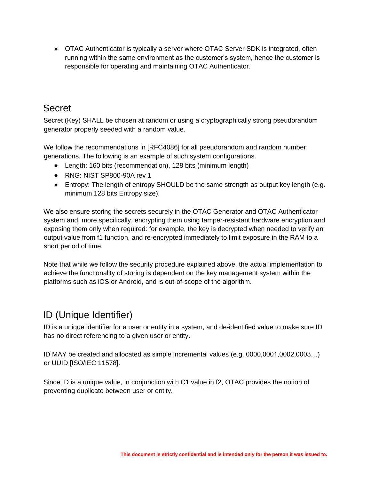• OTAC Authenticator is typically a server where OTAC Server SDK is integrated, often running within the same environment as the customer's system, hence the customer is responsible for operating and maintaining OTAC Authenticator.

## Secret

Secret (Key) SHALL be chosen at random or using a cryptographically strong pseudorandom generator properly seeded with a random value.

We follow the recommendations in [RFC4086] for all pseudorandom and random number generations. The following is an example of such system configurations.

- Length: 160 bits (recommendation), 128 bits (minimum length)
- RNG: NIST SP800-90A rev 1
- Entropy: The length of entropy SHOULD be the same strength as output key length (e.g. minimum 128 bits Entropy size).

We also ensure storing the secrets securely in the OTAC Generator and OTAC Authenticator system and, more specifically, encrypting them using tamper-resistant hardware encryption and exposing them only when required: for example, the key is decrypted when needed to verify an output value from f1 function, and re-encrypted immediately to limit exposure in the RAM to a short period of time.

Note that while we follow the security procedure explained above, the actual implementation to achieve the functionality of storing is dependent on the key management system within the platforms such as iOS or Android, and is out-of-scope of the algorithm.

## ID (Unique Identifier)

ID is a unique identifier for a user or entity in a system, and de-identified value to make sure ID has no direct referencing to a given user or entity.

ID MAY be created and allocated as simple incremental values (e.g. 0000,0001,0002,0003…) or UUID [ISO/IEC 11578].

Since ID is a unique value, in conjunction with C1 value in f2, OTAC provides the notion of preventing duplicate between user or entity.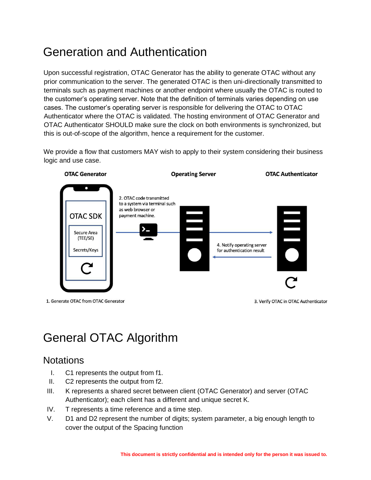## Generation and Authentication

Upon successful registration, OTAC Generator has the ability to generate OTAC without any prior communication to the server. The generated OTAC is then uni-directionally transmitted to terminals such as payment machines or another endpoint where usually the OTAC is routed to the customer's operating server. Note that the definition of terminals varies depending on use cases. The customer's operating server is responsible for delivering the OTAC to OTAC Authenticator where the OTAC is validated. The hosting environment of OTAC Generator and OTAC Authenticator SHOULD make sure the clock on both environments is synchronized, but this is out-of-scope of the algorithm, hence a requirement for the customer.

We provide a flow that customers MAY wish to apply to their system considering their business logic and use case.



1. Generate OTAC from OTAC Generator

3. Verify OTAC in OTAC Authenticator

## General OTAC Algorithm

## **Notations**

- I. C1 represents the output from f1.
- II. C2 represents the output from f2.
- III. K represents a shared secret between client (OTAC Generator) and server (OTAC Authenticator); each client has a different and unique secret K.
- IV. T represents a time reference and a time step.
- V. D1 and D2 represent the number of digits; system parameter, a big enough length to cover the output of the Spacing function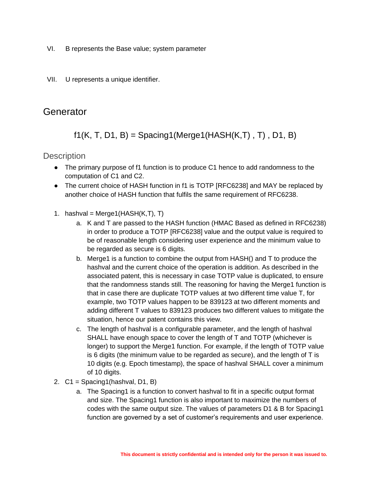- VI. B represents the Base value; system parameter
- VII. U represents a unique identifier.

### **Generator**

f1(K, T, D1, B) = Spacing1(Merge1(HASH(K,T), T), D1, B)

**Description** 

- The primary purpose of f1 function is to produce C1 hence to add randomness to the computation of C1 and C2.
- The current choice of HASH function in f1 is TOTP [RFC6238] and MAY be replaced by another choice of HASH function that fulfils the same requirement of RFC6238.
- 1. hashval = Merge1( $HASH(K,T)$ , T)
	- a. K and T are passed to the HASH function (HMAC Based as defined in RFC6238) in order to produce a TOTP [RFC6238] value and the output value is required to be of reasonable length considering user experience and the minimum value to be regarded as secure is 6 digits.
	- b. Merge1 is a function to combine the output from HASH() and T to produce the hashval and the current choice of the operation is addition. As described in the associated patent, this is necessary in case TOTP value is duplicated, to ensure that the randomness stands still. The reasoning for having the Merge1 function is that in case there are duplicate TOTP values at two different time value T, for example, two TOTP values happen to be 839123 at two different moments and adding different T values to 839123 produces two different values to mitigate the situation, hence our patent contains this view.
	- c. The length of hashval is a configurable parameter, and the length of hashval SHALL have enough space to cover the length of T and TOTP (whichever is longer) to support the Merge1 function. For example, if the length of TOTP value is 6 digits (the minimum value to be regarded as secure), and the length of T is 10 digits (e.g. Epoch timestamp), the space of hashval SHALL cover a minimum of 10 digits.
- 2. C1 = Spacing1(hashval, D1, B)
	- a. The Spacing1 is a function to convert hashval to fit in a specific output format and size. The Spacing1 function is also important to maximize the numbers of codes with the same output size. The values of parameters D1 & B for Spacing1 function are governed by a set of customer's requirements and user experience.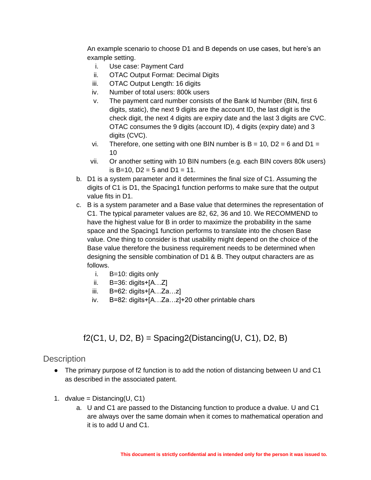An example scenario to choose D1 and B depends on use cases, but here's an example setting.

- i. Use case: Payment Card
- ii. OTAC Output Format: Decimal Digits
- iii. OTAC Output Length: 16 digits
- iv. Number of total users: 800k users
- v. The payment card number consists of the Bank Id Number (BIN, first 6 digits, static), the next 9 digits are the account ID, the last digit is the check digit, the next 4 digits are expiry date and the last 3 digits are CVC. OTAC consumes the 9 digits (account ID), 4 digits (expiry date) and 3 digits (CVC).
- vi. Therefore, one setting with one BIN number is  $B = 10$ ,  $D2 = 6$  and  $D1 =$ 10
- vii. Or another setting with 10 BIN numbers (e.g. each BIN covers 80k users) is B=10, D2 = 5 and D1 = 11.
- b. D1 is a system parameter and it determines the final size of C1. Assuming the digits of C1 is D1, the Spacing1 function performs to make sure that the output value fits in D1.
- c. B is a system parameter and a Base value that determines the representation of C1. The typical parameter values are 82, 62, 36 and 10. We RECOMMEND to have the highest value for B in order to maximize the probability in the same space and the Spacing1 function performs to translate into the chosen Base value. One thing to consider is that usability might depend on the choice of the Base value therefore the business requirement needs to be determined when designing the sensible combination of D1 & B. They output characters are as follows.
	- i. B=10: digits only
	- ii.  $B=36:$  digits +  $[A...Z]$
	- iii. B=62: digits+[A…Za…z]
	- iv. B=82: digits+[A…Za…z]+20 other printable chars

### f2(C1, U, D2, B) = Spacing2(Distancing(U, C1), D2, B)

#### **Description**

- The primary purpose of f2 function is to add the notion of distancing between U and C1 as described in the associated patent.
- 1. dvalue =  $Distance(U, C1)$ 
	- a. U and C1 are passed to the Distancing function to produce a dvalue. U and C1 are always over the same domain when it comes to mathematical operation and it is to add U and C1.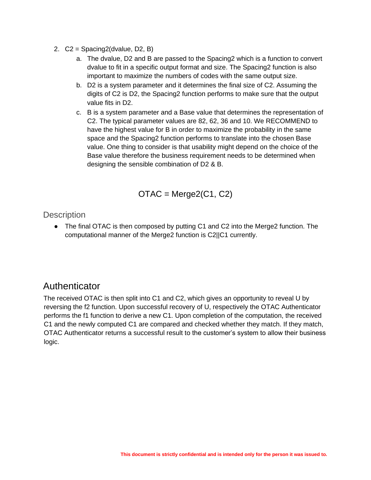- 2. C2 = Spacing2(dvalue, D2, B)
	- a. The dvalue, D2 and B are passed to the Spacing2 which is a function to convert dvalue to fit in a specific output format and size. The Spacing2 function is also important to maximize the numbers of codes with the same output size.
	- b. D2 is a system parameter and it determines the final size of C2. Assuming the digits of C2 is D2, the Spacing2 function performs to make sure that the output value fits in D2.
	- c. B is a system parameter and a Base value that determines the representation of C2. The typical parameter values are 82, 62, 36 and 10. We RECOMMEND to have the highest value for B in order to maximize the probability in the same space and the Spacing2 function performs to translate into the chosen Base value. One thing to consider is that usability might depend on the choice of the Base value therefore the business requirement needs to be determined when designing the sensible combination of D2 & B.

$$
OTAC = Merge2(C1, C2)
$$

**Description** 

● The final OTAC is then composed by putting C1 and C2 into the Merge2 function. The computational manner of the Merge2 function is C2||C1 currently.

## **Authenticator**

The received OTAC is then split into C1 and C2, which gives an opportunity to reveal U by reversing the f2 function. Upon successful recovery of U, respectively the OTAC Authenticator performs the f1 function to derive a new C1. Upon completion of the computation, the received C1 and the newly computed C1 are compared and checked whether they match. If they match, OTAC Authenticator returns a successful result to the customer's system to allow their business logic.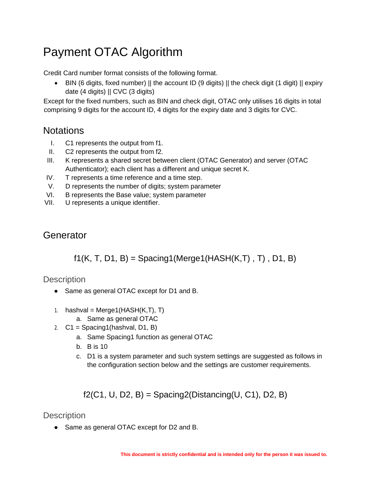## Payment OTAC Algorithm

Credit Card number format consists of the following format.

• BIN (6 digits, fixed number) || the account ID (9 digits) || the check digit (1 digit) || expiry date (4 digits) || CVC (3 digits)

Except for the fixed numbers, such as BIN and check digit, OTAC only utilises 16 digits in total comprising 9 digits for the account ID, 4 digits for the expiry date and 3 digits for CVC.

## **Notations**

- I. C1 represents the output from f1.
- II. C2 represents the output from f2.
- III. K represents a shared secret between client (OTAC Generator) and server (OTAC Authenticator); each client has a different and unique secret K.
- IV. T represents a time reference and a time step.
- V. D represents the number of digits; system parameter
- VI. B represents the Base value; system parameter
- VII. U represents a unique identifier.

## **Generator**

## $f1(K, T, D1, B) =$  Spacing1(Merge1(HASH(K,T), T), D1, B)

### **Description**

- Same as general OTAC except for D1 and B.
- 1. hashval = Merge1( $HASH(K,T)$ , T)
	- a. Same as general OTAC
- 2.  $C1 = Spacing1(hashval, D1, B)$ 
	- a. Same Spacing1 function as general OTAC
	- b. B is 10
	- c. D1 is a system parameter and such system settings are suggested as follows in the configuration section below and the settings are customer requirements.

f2(C1, U, D2, B) = Spacing2(Distancing(U, C1), D2, B)

## **Description**

● Same as general OTAC except for D2 and B.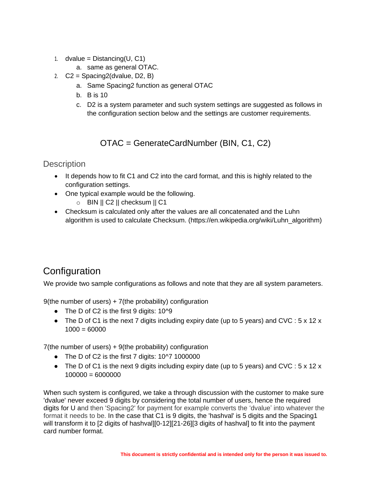- 1. dvalue =  $Distance(U, C1)$ 
	- a. same as general OTAC.
- 2.  $C2 = Spacing2$ (dvalue, D2, B)
	- a. Same Spacing2 function as general OTAC
	- b. B is 10
	- c. D2 is a system parameter and such system settings are suggested as follows in the configuration section below and the settings are customer requirements.

OTAC = GenerateCardNumber (BIN, C1, C2)

### **Description**

- It depends how to fit C1 and C2 into the card format, and this is highly related to the configuration settings.
- One typical example would be the following.
	- $\circ$  BIN || C2 || checksum || C1
- Checksum is calculated only after the values are all concatenated and the Luhn algorithm is used to calculate Checksum. (https://en.wikipedia.org/wiki/Luhn\_algorithm)

## **Configuration**

We provide two sample configurations as follows and note that they are all system parameters.

9(the number of users)  $+7$ (the probability) configuration

- The D of C2 is the first 9 digits: 10^9
- The D of C1 is the next 7 digits including expiry date (up to 5 years) and CVC :  $5 \times 12 \times$  $1000 = 60000$

7(the number of users) + 9(the probability) configuration

- The D of C2 is the first 7 digits: 10^7 1000000
- The D of C1 is the next 9 digits including expiry date (up to 5 years) and CVC : 5 x 12 x  $100000 = 6000000$

When such system is configured, we take a through discussion with the customer to make sure 'dvalue' never exceed 9 digits by considering the total number of users, hence the required digits for U and then 'Spacing2' for payment for example converts the 'dvalue' into whatever the format it needs to be. In the case that C1 is 9 digits, the 'hashval' is 5 digits and the Spacing1 will transform it to [2 digits of hashval][0-12][21-26][3 digits of hashval] to fit into the payment card number format.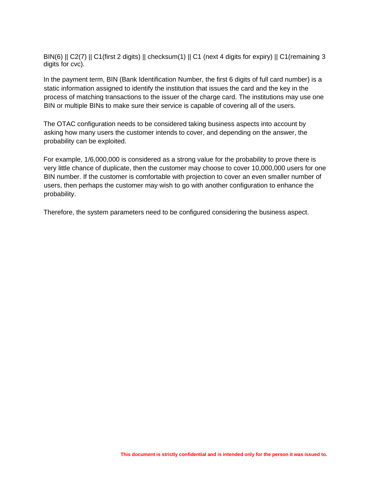BIN(6) || C2(7) || C1(first 2 digits) || checksum(1) || C1 (next 4 digits for expiry) || C1(remaining 3 digits for cvc).

In the payment term, BIN (Bank Identification Number, the first 6 digits of full card number) is a static information assigned to identify the institution that issues the card and the key in the process of matching transactions to the issuer of the charge card. The institutions may use one BIN or multiple BINs to make sure their service is capable of covering all of the users.

The OTAC configuration needs to be considered taking business aspects into account by asking how many users the customer intends to cover, and depending on the answer, the probability can be exploited.

For example, 1/6,000,000 is considered as a strong value for the probability to prove there is very little chance of duplicate, then the customer may choose to cover 10,000,000 users for one BIN number. If the customer is comfortable with projection to cover an even smaller number of users, then perhaps the customer may wish to go with another configuration to enhance the probability.

Therefore, the system parameters need to be configured considering the business aspect.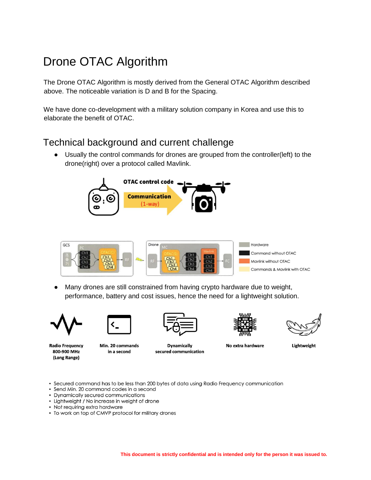## Drone OTAC Algorithm

The Drone OTAC Algorithm is mostly derived from the General OTAC Algorithm described above. The noticeable variation is D and B for the Spacing.

We have done co-development with a military solution company in Korea and use this to elaborate the benefit of OTAC.

## Technical background and current challenge

● Usually the control commands for drones are grouped from the controller(left) to the drone(right) over a protocol called Mavlink.





● Many drones are still constrained from having crypto hardware due to weight, performance, battery and cost issues, hence the need for a lightweight solution.



**Radio Frequency** 

800-900 MHz

(Long Range)



Min. 20 commands in a second

**Dynamically** secured communication



No extra hardware

Lightweight

· Secured command has to be less than 200 bytes of data using Radio Frequency communication

- · Send Min. 20 command codes in a second
- Dynamically secured communications
- Lightweight / No increase in weight of drone
- Not requiring extra hardware
- To work on top of CMVP protocol for military drones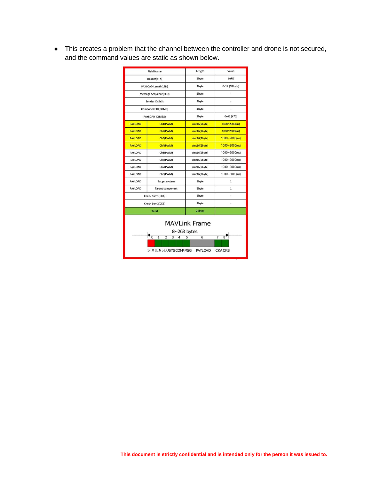● This creates a problem that the channel between the controller and drone is not secured, and the command values are static as shown below.

|                                                                                                                                                                                         | <b>Field Name</b>       | Length        | Value                    |  |  |  |  |
|-----------------------------------------------------------------------------------------------------------------------------------------------------------------------------------------|-------------------------|---------------|--------------------------|--|--|--|--|
|                                                                                                                                                                                         | Header(STX)             | <b>1byte</b>  | OxFE                     |  |  |  |  |
|                                                                                                                                                                                         | PAYLOAD Length(LEN)     | 1byte         | 0x12 (18byte)            |  |  |  |  |
|                                                                                                                                                                                         | Message Sequence(SEQ)   | 1byte         | i,                       |  |  |  |  |
|                                                                                                                                                                                         | Sender ID(SYS)          | 1byte         |                          |  |  |  |  |
|                                                                                                                                                                                         | Component ID(COMP)      | 1byte         | ä,                       |  |  |  |  |
|                                                                                                                                                                                         | PAYLOAD ID(MSG)         | 1byte         | 0x46 (#70)               |  |  |  |  |
| <b>PAYLOAD</b>                                                                                                                                                                          | Ch1(PWM)                | uint16(2byte) | 1000~2000(us)            |  |  |  |  |
| <b>PAYLOAD</b>                                                                                                                                                                          | Ch2(PWM)                | uint16(2byte) | 1000~2000(us)            |  |  |  |  |
| <b>PAYLOAD</b>                                                                                                                                                                          | Ch3(PWM)                | uint16(2byte) | $1000 - 2000$ (us)       |  |  |  |  |
| <b>PAYLOAD</b>                                                                                                                                                                          | Ch4(PWM)                | uint16(2byte) | $1000 - 2000$ (us)       |  |  |  |  |
| <b>PAYLOAD</b>                                                                                                                                                                          | Ch5(PWM)                | uint16(2byte) | $1000 - 2000$ (us)       |  |  |  |  |
| PAYLOAD                                                                                                                                                                                 | Ch6(PWM)                | uint16(2byte) | $1000 - 2000$ (us)       |  |  |  |  |
| <b>PAYLOAD</b>                                                                                                                                                                          | Ch7(PWM)                | uint16(2byte) | 1000~2000(us)            |  |  |  |  |
| PAYLOAD                                                                                                                                                                                 | Ch8(PWM)                | uint16(2byte) | 1000~2000(us)            |  |  |  |  |
| <b>PAYLOAD</b>                                                                                                                                                                          | <b>Target system</b>    | 1byte         | $\mathbf 1$              |  |  |  |  |
| <b>PAYLOAD</b>                                                                                                                                                                          | <b>Target component</b> | <b>1byte</b>  | $\mathbf{1}$             |  |  |  |  |
|                                                                                                                                                                                         | Check Sum1(CKA)         | 1byte         | $\overline{\phantom{a}}$ |  |  |  |  |
|                                                                                                                                                                                         | Check Sum2(CKB)         | 1byte         | ä,                       |  |  |  |  |
|                                                                                                                                                                                         | Total                   | 26byte        |                          |  |  |  |  |
| <b>MAVLink Frame</b><br>8~263 bytes<br>$\overline{0}$<br>$\overline{2}$<br>$\overline{7}$<br>$\mathbf{1}$<br>3<br>6<br>8<br>4<br>5<br>STX LENSE QSYSCOMPMSG<br>PAYLOAD<br><b>CKACKB</b> |                         |               |                          |  |  |  |  |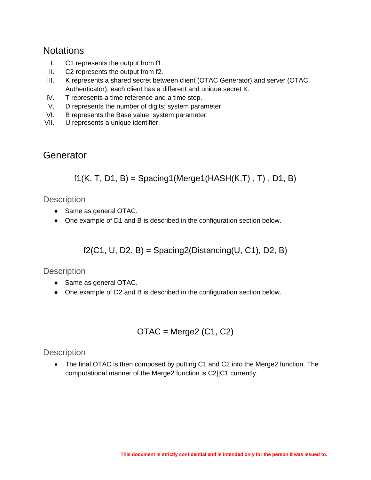## **Notations**

- I. C1 represents the output from f1.
- II. C2 represents the output from f2.
- III. K represents a shared secret between client (OTAC Generator) and server (OTAC Authenticator); each client has a different and unique secret K.
- IV. T represents a time reference and a time step.
- V. D represents the number of digits; system parameter
- VI. B represents the Base value; system parameter
- VII. U represents a unique identifier.

## **Generator**

 $f1(K, T, D1, B) =$  Spacing1(Merge1(HASH(K,T), T), D1, B)

### **Description**

- Same as general OTAC.
- One example of D1 and B is described in the configuration section below.

f2(C1, U, D2, B) = Spacing2(Distancing(U, C1), D2, B)

### **Description**

- Same as general OTAC.
- One example of D2 and B is described in the configuration section below.

$$
OTAC = Merge2 (C1, C2)
$$

### **Description**

• The final OTAC is then composed by putting C1 and C2 into the Merge2 function. The computational manner of the Merge2 function is C2||C1 currently.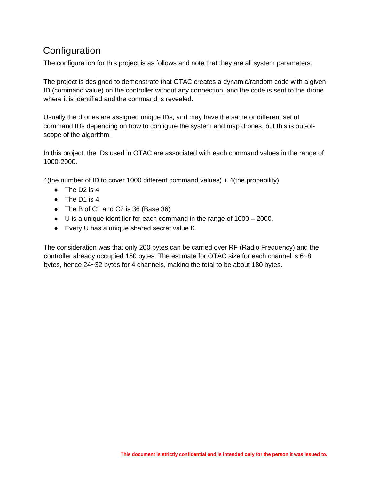## **Configuration**

The configuration for this project is as follows and note that they are all system parameters.

The project is designed to demonstrate that OTAC creates a dynamic/random code with a given ID (command value) on the controller without any connection, and the code is sent to the drone where it is identified and the command is revealed.

Usually the drones are assigned unique IDs, and may have the same or different set of command IDs depending on how to configure the system and map drones, but this is out-ofscope of the algorithm.

In this project, the IDs used in OTAC are associated with each command values in the range of 1000-2000.

4(the number of ID to cover 1000 different command values) + 4(the probability)

- The D2 is 4
- The D1 is 4
- The B of C1 and C2 is 36 (Base 36)
- U is a unique identifier for each command in the range of 1000 2000.
- Every U has a unique shared secret value K.

The consideration was that only 200 bytes can be carried over RF (Radio Frequency) and the controller already occupied 150 bytes. The estimate for OTAC size for each channel is 6~8 bytes, hence 24~32 bytes for 4 channels, making the total to be about 180 bytes.